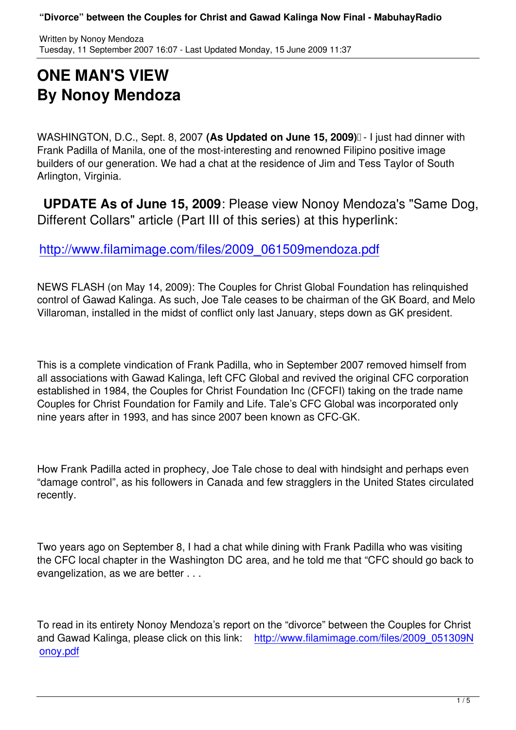## **ONE MAN'S VIEW By Nonoy Mendoza**

WASHINGTON, D.C., Sept. 8, 2007 (As Updated on June 15, 2009)<sup>[]</sup> - I just had dinner with Frank Padilla of Manila, one of the most-interesting and renowned Filipino positive image builders of our generation. We had a chat at the residence of Jim and Tess Taylor of South Arlington, Virginia.

 **UPDATE As of June 15, 2009**: Please view Nonoy Mendoza's "Same Dog, Different Collars" article (Part III of this series) at this hyperlink:

http://www.filamimage.com/files/2009\_061509mendoza.pdf

[NEWS FLASH \(on May 14, 2009\): The Couples for Christ Global Foundatio](http://www.filamimage.com/files/2009_061509mendoza.pdf)n has relinquished control of Gawad Kalinga. As such, Joe Tale ceases to be chairman of the GK Board, and Melo Villaroman, installed in the midst of conflict only last January, steps down as GK president.

This is a complete vindication of Frank Padilla, who in September 2007 removed himself from all associations with Gawad Kalinga, left CFC Global and revived the original CFC corporation established in 1984, the Couples for Christ Foundation Inc (CFCFI) taking on the trade name Couples for Christ Foundation for Family and Life. Tale's CFC Global was incorporated only nine years after in 1993, and has since 2007 been known as CFC-GK.

How Frank Padilla acted in prophecy, Joe Tale chose to deal with hindsight and perhaps even "damage control", as his followers in Canada and few stragglers in the United States circulated recently.

Two years ago on September 8, I had a chat while dining with Frank Padilla who was visiting the CFC local chapter in the Washington DC area, and he told me that "CFC should go back to evangelization, as we are better . . .

To read in its entirety Nonoy Mendoza's report on the "divorce" between the Couples for Christ and Gawad Kalinga, please click on this link: http://www.filamimage.com/files/2009\_051309N onoy.pdf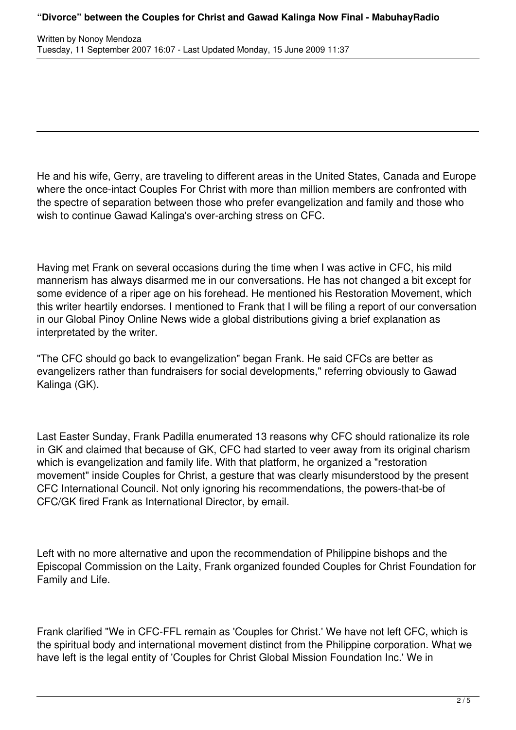He and his wife, Gerry, are traveling to different areas in the United States, Canada and Europe where the once-intact Couples For Christ with more than million members are confronted with the spectre of separation between those who prefer evangelization and family and those who wish to continue Gawad Kalinga's over-arching stress on CFC.

Having met Frank on several occasions during the time when I was active in CFC, his mild mannerism has always disarmed me in our conversations. He has not changed a bit except for some evidence of a riper age on his forehead. He mentioned his Restoration Movement, which this writer heartily endorses. I mentioned to Frank that I will be filing a report of our conversation in our Global Pinoy Online News wide a global distributions giving a brief explanation as interpretated by the writer.

"The CFC should go back to evangelization" began Frank. He said CFCs are better as evangelizers rather than fundraisers for social developments," referring obviously to Gawad Kalinga (GK).

Last Easter Sunday, Frank Padilla enumerated 13 reasons why CFC should rationalize its role in GK and claimed that because of GK, CFC had started to veer away from its original charism which is evangelization and family life. With that platform, he organized a "restoration movement" inside Couples for Christ, a gesture that was clearly misunderstood by the present CFC International Council. Not only ignoring his recommendations, the powers-that-be of CFC/GK fired Frank as International Director, by email.

Left with no more alternative and upon the recommendation of Philippine bishops and the Episcopal Commission on the Laity, Frank organized founded Couples for Christ Foundation for Family and Life.

Frank clarified "We in CFC-FFL remain as 'Couples for Christ.' We have not left CFC, which is the spiritual body and international movement distinct from the Philippine corporation. What we have left is the legal entity of 'Couples for Christ Global Mission Foundation Inc.' We in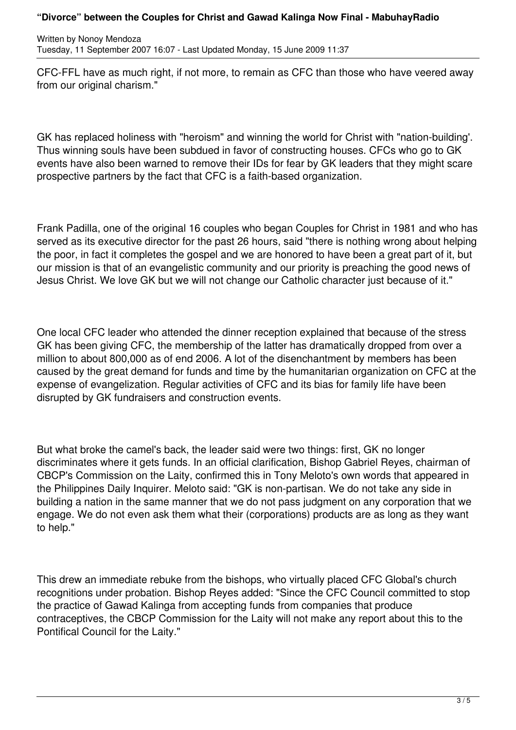CFC-FFL have as much right, if not more, to remain as CFC than those who have veered away from our original charism."

GK has replaced holiness with "heroism" and winning the world for Christ with "nation-building'. Thus winning souls have been subdued in favor of constructing houses. CFCs who go to GK events have also been warned to remove their IDs for fear by GK leaders that they might scare prospective partners by the fact that CFC is a faith-based organization.

Frank Padilla, one of the original 16 couples who began Couples for Christ in 1981 and who has served as its executive director for the past 26 hours, said "there is nothing wrong about helping the poor, in fact it completes the gospel and we are honored to have been a great part of it, but our mission is that of an evangelistic community and our priority is preaching the good news of Jesus Christ. We love GK but we will not change our Catholic character just because of it."

One local CFC leader who attended the dinner reception explained that because of the stress GK has been giving CFC, the membership of the latter has dramatically dropped from over a million to about 800,000 as of end 2006. A lot of the disenchantment by members has been caused by the great demand for funds and time by the humanitarian organization on CFC at the expense of evangelization. Regular activities of CFC and its bias for family life have been disrupted by GK fundraisers and construction events.

But what broke the camel's back, the leader said were two things: first, GK no longer discriminates where it gets funds. In an official clarification, Bishop Gabriel Reyes, chairman of CBCP's Commission on the Laity, confirmed this in Tony Meloto's own words that appeared in the Philippines Daily Inquirer. Meloto said: "GK is non-partisan. We do not take any side in building a nation in the same manner that we do not pass judgment on any corporation that we engage. We do not even ask them what their (corporations) products are as long as they want to help."

This drew an immediate rebuke from the bishops, who virtually placed CFC Global's church recognitions under probation. Bishop Reyes added: "Since the CFC Council committed to stop the practice of Gawad Kalinga from accepting funds from companies that produce contraceptives, the CBCP Commission for the Laity will not make any report about this to the Pontifical Council for the Laity."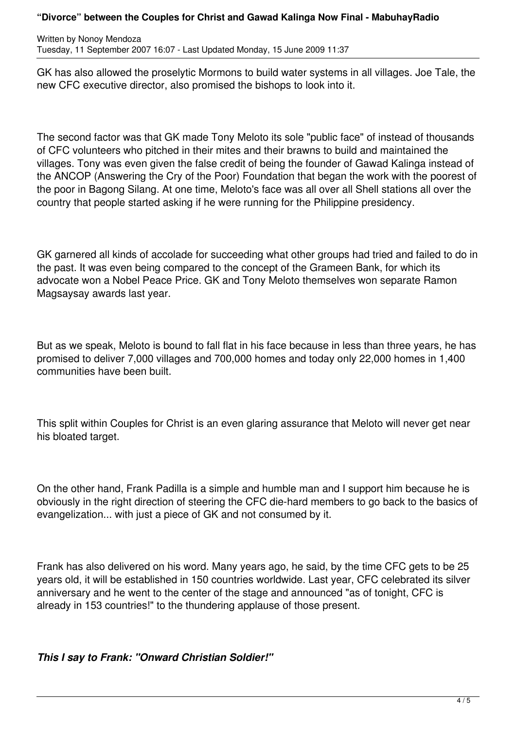## **"Divorce" between the Couples for Christ and Gawad Kalinga Now Final - MabuhayRadio**

Written by Nonoy Mendoza Tuesday, 11 September 2007 16:07 - Last Updated Monday, 15 June 2009 11:37

GK has also allowed the proselytic Mormons to build water systems in all villages. Joe Tale, the new CFC executive director, also promised the bishops to look into it.

The second factor was that GK made Tony Meloto its sole "public face" of instead of thousands of CFC volunteers who pitched in their mites and their brawns to build and maintained the villages. Tony was even given the false credit of being the founder of Gawad Kalinga instead of the ANCOP (Answering the Cry of the Poor) Foundation that began the work with the poorest of the poor in Bagong Silang. At one time, Meloto's face was all over all Shell stations all over the country that people started asking if he were running for the Philippine presidency.

GK garnered all kinds of accolade for succeeding what other groups had tried and failed to do in the past. It was even being compared to the concept of the Grameen Bank, for which its advocate won a Nobel Peace Price. GK and Tony Meloto themselves won separate Ramon Magsaysay awards last year.

But as we speak, Meloto is bound to fall flat in his face because in less than three years, he has promised to deliver 7,000 villages and 700,000 homes and today only 22,000 homes in 1,400 communities have been built.

This split within Couples for Christ is an even glaring assurance that Meloto will never get near his bloated target.

On the other hand, Frank Padilla is a simple and humble man and I support him because he is obviously in the right direction of steering the CFC die-hard members to go back to the basics of evangelization... with just a piece of GK and not consumed by it.

Frank has also delivered on his word. Many years ago, he said, by the time CFC gets to be 25 years old, it will be established in 150 countries worldwide. Last year, CFC celebrated its silver anniversary and he went to the center of the stage and announced "as of tonight, CFC is already in 153 countries!" to the thundering applause of those present.

*This I say to Frank: "Onward Christian Soldier!"*